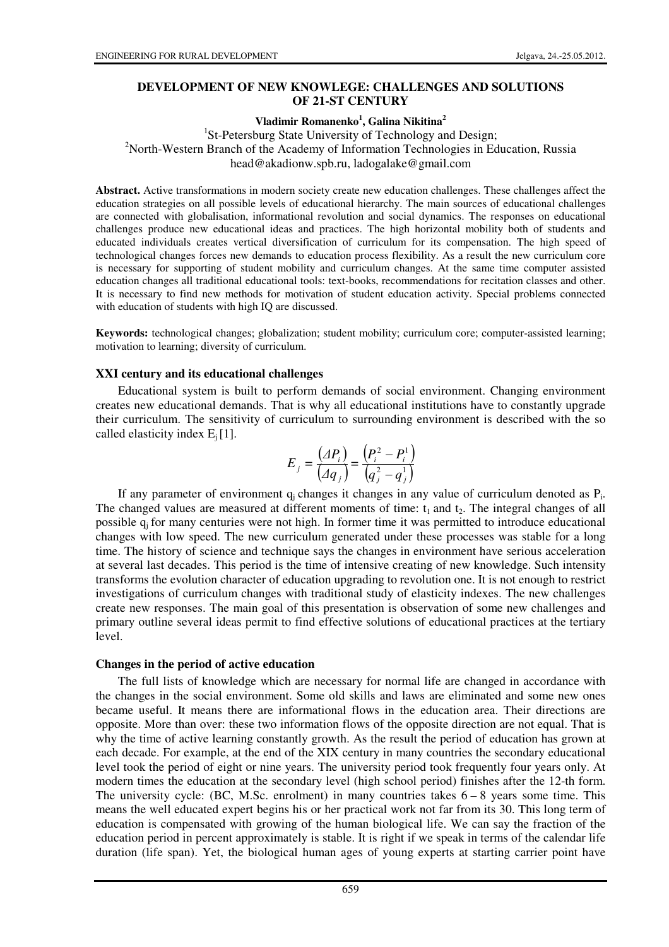### **DEVELOPMENT OF NEW KNOWLEGE: CHALLENGES AND SOLUTIONS OF 21-ST CENTURY**

### **Vladimir Romanenko<sup>1</sup> , Galina Nikitina<sup>2</sup>**

<sup>1</sup>St-Petersburg State University of Technology and Design; <sup>2</sup>North-Western Branch of the Academy of Information Technologies in Education, Russia head@akadionw.spb.ru, ladogalake@gmail.com

**Abstract.** Active transformations in modern society create new education challenges. These challenges affect the education strategies on all possible levels of educational hierarchy. The main sources of educational challenges are connected with globalisation, informational revolution and social dynamics. The responses on educational challenges produce new educational ideas and practices. The high horizontal mobility both of students and educated individuals creates vertical diversification of curriculum for its compensation. The high speed of technological changes forces new demands to education process flexibility. As a result the new curriculum core is necessary for supporting of student mobility and curriculum changes. At the same time computer assisted education changes all traditional educational tools: text-books, recommendations for recitation classes and other. It is necessary to find new methods for motivation of student education activity. Special problems connected with education of students with high IQ are discussed.

**Keywords:** technological changes; globalization; student mobility; curriculum core; computer-assisted learning; motivation to learning; diversity of curriculum.

#### **XXI century and its educational challenges**

Educational system is built to perform demands of social environment. Changing environment creates new educational demands. That is why all educational institutions have to constantly upgrade their curriculum. The sensitivity of curriculum to surrounding environment is described with the so called elasticity index  $E_i$  [1].

$$
E_{j} = \frac{(AP_{i})}{(Aq_{j})} = \frac{(P_{i}^{2} - P_{i}^{1})}{(q_{j}^{2} - q_{j}^{1})}
$$

If any parameter of environment  $q_j$  changes it changes in any value of curriculum denoted as  $P_i$ . The changed values are measured at different moments of time:  $t_1$  and  $t_2$ . The integral changes of all possible q<sub>i</sub> for many centuries were not high. In former time it was permitted to introduce educational changes with low speed. The new curriculum generated under these processes was stable for a long time. The history of science and technique says the changes in environment have serious acceleration at several last decades. This period is the time of intensive creating of new knowledge. Such intensity transforms the evolution character of education upgrading to revolution one. It is not enough to restrict investigations of curriculum changes with traditional study of elasticity indexes. The new challenges create new responses. The main goal of this presentation is observation of some new challenges and primary outline several ideas permit to find effective solutions of educational practices at the tertiary level.

#### **Changes in the period of active education**

The full lists of knowledge which are necessary for normal life are changed in accordance with the changes in the social environment. Some old skills and laws are eliminated and some new ones became useful. It means there are informational flows in the education area. Their directions are opposite. More than over: these two information flows of the opposite direction are not equal. That is why the time of active learning constantly growth. As the result the period of education has grown at each decade. For example, at the end of the XIX century in many countries the secondary educational level took the period of eight or nine years. The university period took frequently four years only. At modern times the education at the secondary level (high school period) finishes after the 12-th form. The university cycle: (BC, M.Sc. enrolment) in many countries takes  $6 - 8$  years some time. This means the well educated expert begins his or her practical work not far from its 30. This long term of education is compensated with growing of the human biological life. We can say the fraction of the education period in percent approximately is stable. It is right if we speak in terms of the calendar life duration (life span). Yet, the biological human ages of young experts at starting carrier point have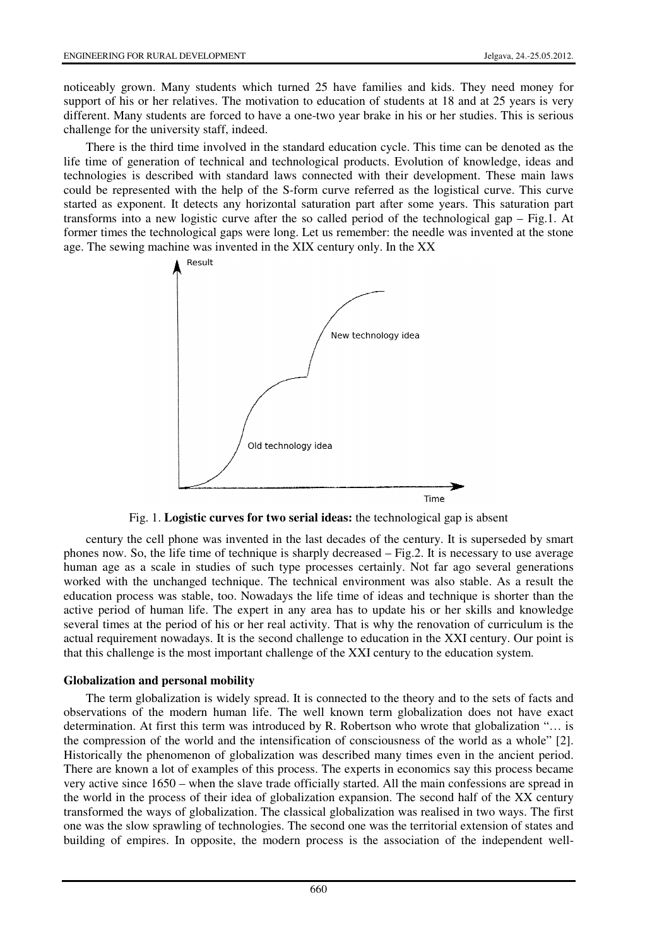noticeably grown. Many students which turned 25 have families and kids. They need money for support of his or her relatives. The motivation to education of students at 18 and at 25 years is very different. Many students are forced to have a one-two year brake in his or her studies. This is serious challenge for the university staff, indeed.

There is the third time involved in the standard education cycle. This time can be denoted as the life time of generation of technical and technological products. Evolution of knowledge, ideas and technologies is described with standard laws connected with their development. These main laws could be represented with the help of the S-form curve referred as the logistical curve. This curve started as exponent. It detects any horizontal saturation part after some years. This saturation part transforms into a new logistic curve after the so called period of the technological gap – Fig.1. At former times the technological gaps were long. Let us remember: the needle was invented at the stone age. The sewing machine was invented in the XIX century only. In the XX



Fig. 1. **Logistic curves for two serial ideas:** the technological gap is absent

century the cell phone was invented in the last decades of the century. It is superseded by smart phones now. So, the life time of technique is sharply decreased – Fig.2. It is necessary to use average human age as a scale in studies of such type processes certainly. Not far ago several generations worked with the unchanged technique. The technical environment was also stable. As a result the education process was stable, too. Nowadays the life time of ideas and technique is shorter than the active period of human life. The expert in any area has to update his or her skills and knowledge several times at the period of his or her real activity. That is why the renovation of curriculum is the actual requirement nowadays. It is the second challenge to education in the XXI century. Our point is that this challenge is the most important challenge of the XXI century to the education system.

# **Globalization and personal mobility**

The term globalization is widely spread. It is connected to the theory and to the sets of facts and observations of the modern human life. The well known term globalization does not have exact determination. At first this term was introduced by R. Robertson who wrote that globalization "… is the compression of the world and the intensification of consciousness of the world as a whole" [2]. Historically the phenomenon of globalization was described many times even in the ancient period. There are known a lot of examples of this process. The experts in economics say this process became very active since 1650 – when the slave trade officially started. All the main confessions are spread in the world in the process of their idea of globalization expansion. The second half of the XX century transformed the ways of globalization. The classical globalization was realised in two ways. The first one was the slow sprawling of technologies. The second one was the territorial extension of states and building of empires. In opposite, the modern process is the association of the independent well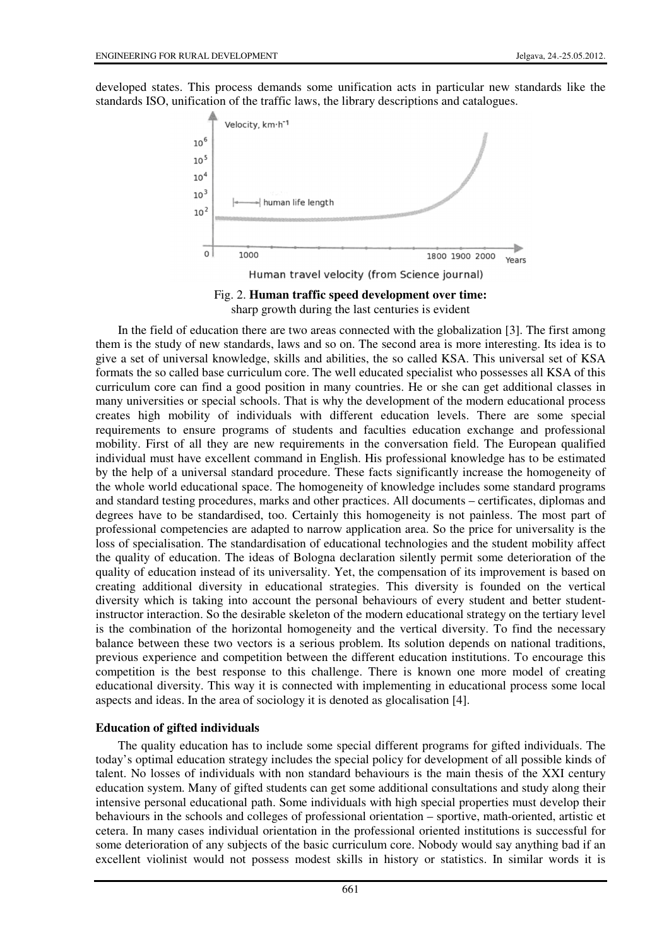developed states. This process demands some unification acts in particular new standards like the standards ISO, unification of the traffic laws, the library descriptions and catalogues.





In the field of education there are two areas connected with the globalization [3]. The first among them is the study of new standards, laws and so on. The second area is more interesting. Its idea is to give a set of universal knowledge, skills and abilities, the so called KSA. This universal set of KSA formats the so called base curriculum core. The well educated specialist who possesses all KSA of this curriculum core can find a good position in many countries. He or she can get additional classes in many universities or special schools. That is why the development of the modern educational process creates high mobility of individuals with different education levels. There are some special requirements to ensure programs of students and faculties education exchange and professional mobility. First of all they are new requirements in the conversation field. The European qualified individual must have excellent command in English. His professional knowledge has to be estimated by the help of a universal standard procedure. These facts significantly increase the homogeneity of the whole world educational space. The homogeneity of knowledge includes some standard programs and standard testing procedures, marks and other practices. All documents – certificates, diplomas and degrees have to be standardised, too. Certainly this homogeneity is not painless. The most part of professional competencies are adapted to narrow application area. So the price for universality is the loss of specialisation. The standardisation of educational technologies and the student mobility affect the quality of education. The ideas of Bologna declaration silently permit some deterioration of the quality of education instead of its universality. Yet, the compensation of its improvement is based on creating additional diversity in educational strategies. This diversity is founded on the vertical diversity which is taking into account the personal behaviours of every student and better studentinstructor interaction. So the desirable skeleton of the modern educational strategy on the tertiary level is the combination of the horizontal homogeneity and the vertical diversity. To find the necessary balance between these two vectors is a serious problem. Its solution depends on national traditions, previous experience and competition between the different education institutions. To encourage this competition is the best response to this challenge. There is known one more model of creating educational diversity. This way it is connected with implementing in educational process some local aspects and ideas. In the area of sociology it is denoted as glocalisation [4].

# **Education of gifted individuals**

The quality education has to include some special different programs for gifted individuals. The today's optimal education strategy includes the special policy for development of all possible kinds of talent. No losses of individuals with non standard behaviours is the main thesis of the XXI century education system. Many of gifted students can get some additional consultations and study along their intensive personal educational path. Some individuals with high special properties must develop their behaviours in the schools and colleges of professional orientation – sportive, math-oriented, artistic et cetera. In many cases individual orientation in the professional oriented institutions is successful for some deterioration of any subjects of the basic curriculum core. Nobody would say anything bad if an excellent violinist would not possess modest skills in history or statistics. In similar words it is